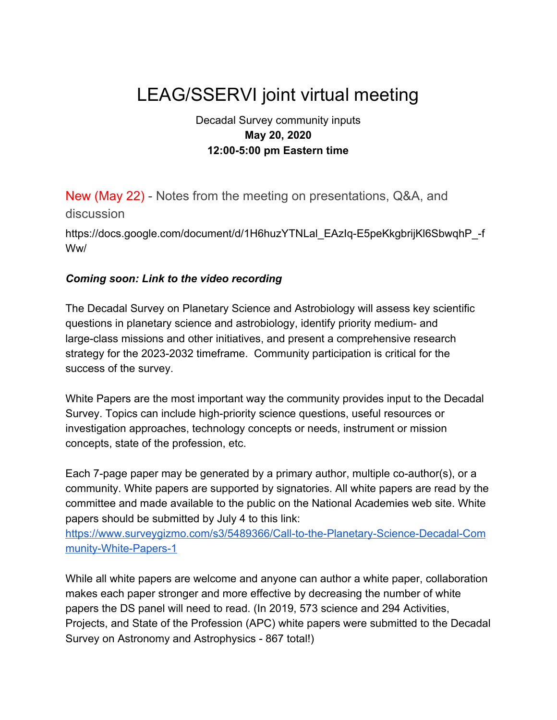# LEAG/SSERVI joint virtual meeting

#### Decadal Survey community inputs **May 20, 2020 12:00-5:00 pm Eastern time**

New (May 22) - Notes from the meeting on presentations, Q&A, and discussion

[https://docs.google.com/document/d/1H6huzYTNLal\\_EAzIq-E5peKkgbrijKl6SbwqhP\\_-f](https://docs.google.com/document/d/1H6huzYTNLal_EAzIq-E5peKkgbrijKl6SbwqhP_-fWw/edit#heading=h.jwkctdlm4q01) [Ww/](https://docs.google.com/document/d/1H6huzYTNLal_EAzIq-E5peKkgbrijKl6SbwqhP_-fWw/edit#heading=h.jwkctdlm4q01)

#### *Coming soon: Link to the video recording*

The [Decadal Survey on Planetary Science and Astrobiology](https://www.nationalacademies.org/our-work/planetary-science-and-astrobiology-decadal-survey-2023-2032?utm_source=NASEM+Space+and+Physics&utm_campaign=77f8cd2c59-EMAIL_CAMPAIGN_2018_12_10_07_58_COPY_01&utm_medium=email&utm_term=0_6f3f7595c9-77f8cd2c59-) will assess key scientific questions in planetary science and astrobiology, identify priority medium- and large-class missions and other initiatives, and present a comprehensive research strategy for the 2023-2032 timeframe. Community participation is critical for the success of the survey.

White Papers are the most important way the community provides input to the Decadal Survey. Topics can include high-priority science questions, useful resources or investigation approaches, technology concepts or needs, instrument or mission concepts, state of the profession, etc.

Each 7-page paper may be generated by a primary author, multiple co-author(s), or a community. White papers are supported by signatories. All white papers are read by the committee and made available to the public on the National Academies web site. White papers should be submitted by July 4 to this link:

[https://www.surveygizmo.com/s3/5489366/Call-to-the-Planetary-Science-Decadal-Com](https://www.surveygizmo.com/s3/5489366/Call-to-the-Planetary-Science-Decadal-Community-White-Papers-1) [munity-White-Papers-1](https://www.surveygizmo.com/s3/5489366/Call-to-the-Planetary-Science-Decadal-Community-White-Papers-1)

While all white papers are welcome and anyone can author a white paper, collaboration makes each paper stronger and more effective by decreasing the number of white papers the DS panel will need to read. (In 2019, 573 science and 294 Activities, Projects, and State of the Profession (APC) white papers were submitted to the Decadal Survey on Astronomy and Astrophysics - 867 total!)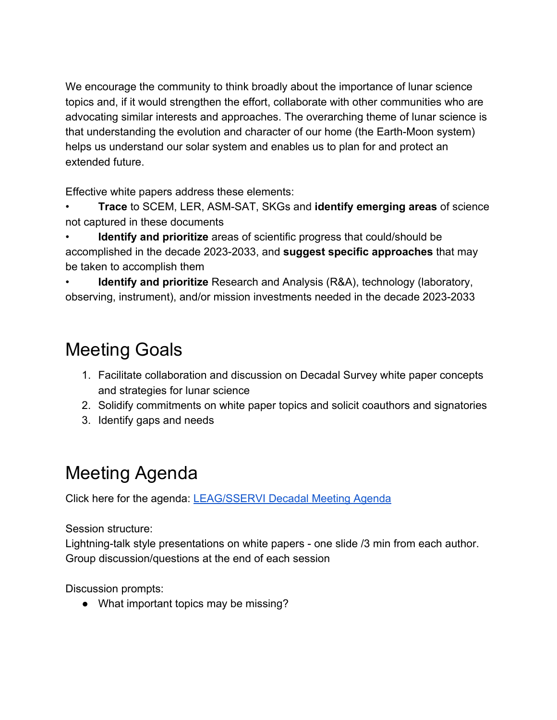We encourage the community to think broadly about the importance of lunar science topics and, if it would strengthen the effort, collaborate with other communities who are advocating similar interests and approaches. The overarching theme of lunar science is that understanding the evolution and character of our home (the Earth-Moon system) helps us understand our solar system and enables us to plan for and protect an extended future.

Effective white papers address these elements:

• **Trace** to SCEM, LER, ASM-SAT, SKGs and **identify emerging areas** of science not captured in these documents

• **Identify and prioritize** areas of scientific progress that could/should be accomplished in the decade 2023-2033, and **suggest specific approaches** that may be taken to accomplish them

• **Identify and prioritize** Research and Analysis (R&A), technology (laboratory, observing, instrument), and/or mission investments needed in the decade 2023-2033

## Meeting Goals

- 1. Facilitate collaboration and discussion on Decadal Survey white paper concepts and strategies for lunar science
- 2. Solidify commitments on white paper topics and solicit coauthors and signatories
- 3. Identify gaps and needs

### Meeting Agenda

Click here for the agenda: [LEAG/SSERVI Decadal Meeting Agenda](https://docs.google.com/spreadsheets/d/1GEgHDRuuno6U7lgyMIXwjWkyd4wRmc6QCnxVAJzm7sw/edit?usp=sharing)

Session structure:

Lightning-talk style presentations on white papers - one slide /3 min from each author. Group discussion/questions at the end of each session

Discussion prompts:

• What important topics may be missing?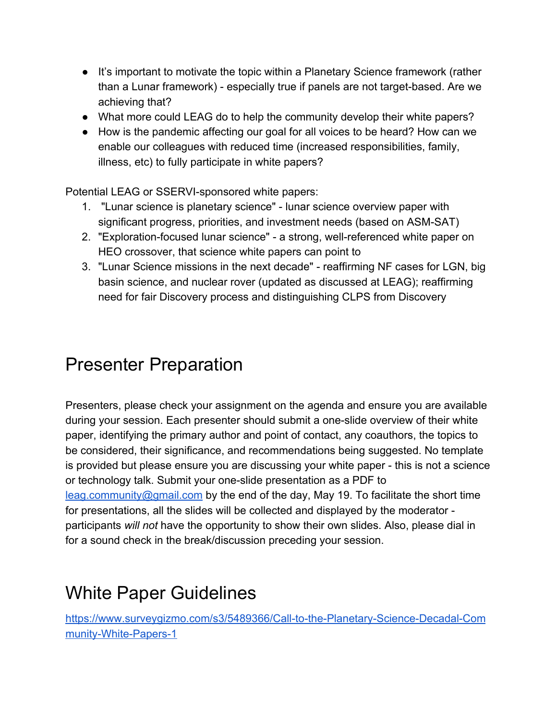- It's important to motivate the topic within a Planetary Science framework (rather than a Lunar framework) - especially true if panels are not target-based. Are we achieving that?
- What more could LEAG do to help the community develop their white papers?
- How is the pandemic affecting our goal for all voices to be heard? How can we enable our colleagues with reduced time (increased responsibilities, family, illness, etc) to fully participate in white papers?

Potential LEAG or SSERVI-sponsored white papers:

- 1. "Lunar science is planetary science" lunar science overview paper with significant progress, priorities, and investment needs (based on ASM-SAT)
- 2. "Exploration-focused lunar science" a strong, well-referenced white paper on HEO crossover, that science white papers can point to
- 3. "Lunar Science missions in the next decade" reaffirming NF cases for LGN, big basin science, and nuclear rover (updated as discussed at LEAG); reaffirming need for fair Discovery process and distinguishing CLPS from Discovery

### Presenter Preparation

Presenters, please check your assignment on the agenda and ensure you are available during your session. Each presenter should submit a one-slide overview of their white paper, identifying the primary author and point of contact, any coauthors, the topics to be considered, their significance, and recommendations being suggested. No template is provided but please ensure you are discussing your white paper - this is not a science or technology talk. Submit your one-slide presentation as a PDF to [leag.community@gmail.com](mailto:leag.community@gmail.com) by the end of the day, May 19. To facilitate the short time for presentations, all the slides will be collected and displayed by the moderator participants *will not* have the opportunity to show their own slides. Also, please dial in for a sound check in the break/discussion preceding your session.

#### White Paper Guidelines

[https://www.surveygizmo.com/s3/5489366/Call-to-the-Planetary-Science-Decadal-Com](https://www.surveygizmo.com/s3/5489366/Call-to-the-Planetary-Science-Decadal-Community-White-Papers-1) [munity-White-Papers-1](https://www.surveygizmo.com/s3/5489366/Call-to-the-Planetary-Science-Decadal-Community-White-Papers-1)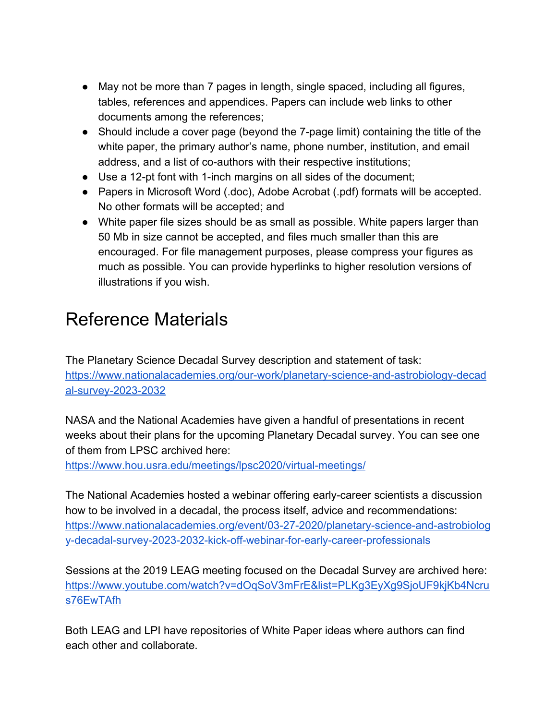- May not be more than 7 pages in length, single spaced, including all figures, tables, references and appendices. Papers can include web links to other documents among the references;
- Should include a cover page (beyond the 7-page limit) containing the title of the white paper, the primary author's name, phone number, institution, and email address, and a list of co-authors with their respective institutions;
- Use a 12-pt font with 1-inch margins on all sides of the document;
- Papers in Microsoft Word (.doc), Adobe Acrobat (.pdf) formats will be accepted. No other formats will be accepted; and
- White paper file sizes should be as small as possible. White papers larger than 50 Mb in size cannot be accepted, and files much smaller than this are encouraged. For file management purposes, please compress your figures as much as possible. You can provide hyperlinks to higher resolution versions of illustrations if you wish.

# Reference Materials

The Planetary Science Decadal Survey description and statement of task: [https://www.nationalacademies.org/our-work/planetary-science-and-astrobiology-decad](https://www.nationalacademies.org/our-work/planetary-science-and-astrobiology-decadal-survey-2023-2032) [al-survey-2023-2032](https://www.nationalacademies.org/our-work/planetary-science-and-astrobiology-decadal-survey-2023-2032)

NASA and the National Academies have given a handful of presentations in recent weeks about their plans for the upcoming Planetary Decadal survey. You can see one of them from LPSC archived here:

<https://www.hou.usra.edu/meetings/lpsc2020/virtual-meetings/>

The National Academies hosted a webinar offering early-career scientists a discussion how to be involved in a decadal, the process itself, advice and recommendations: [https://www.nationalacademies.org/event/03-27-2020/planetary-science-and-astrobiolog](https://www.nationalacademies.org/event/03-27-2020/planetary-science-and-astrobiology-decadal-survey-2023-2032-kick-off-webinar-for-early-career-professionals) [y-decadal-survey-2023-2032-kick-off-webinar-for-early-career-professionals](https://www.nationalacademies.org/event/03-27-2020/planetary-science-and-astrobiology-decadal-survey-2023-2032-kick-off-webinar-for-early-career-professionals)

Sessions at the 2019 LEAG meeting focused on the Decadal Survey are archived here: [https://www.youtube.com/watch?v=dOqSoV3mFrE&list=PLKg3EyXg9SjoUF9kjKb4Ncru](https://www.youtube.com/watch?v=dOqSoV3mFrE&list=PLKg3EyXg9SjoUF9kjKb4Ncrus76EwTAfh) [s76EwTAfh](https://www.youtube.com/watch?v=dOqSoV3mFrE&list=PLKg3EyXg9SjoUF9kjKb4Ncrus76EwTAfh)

Both LEAG and LPI have repositories of White Paper ideas where authors can find each other and collaborate.